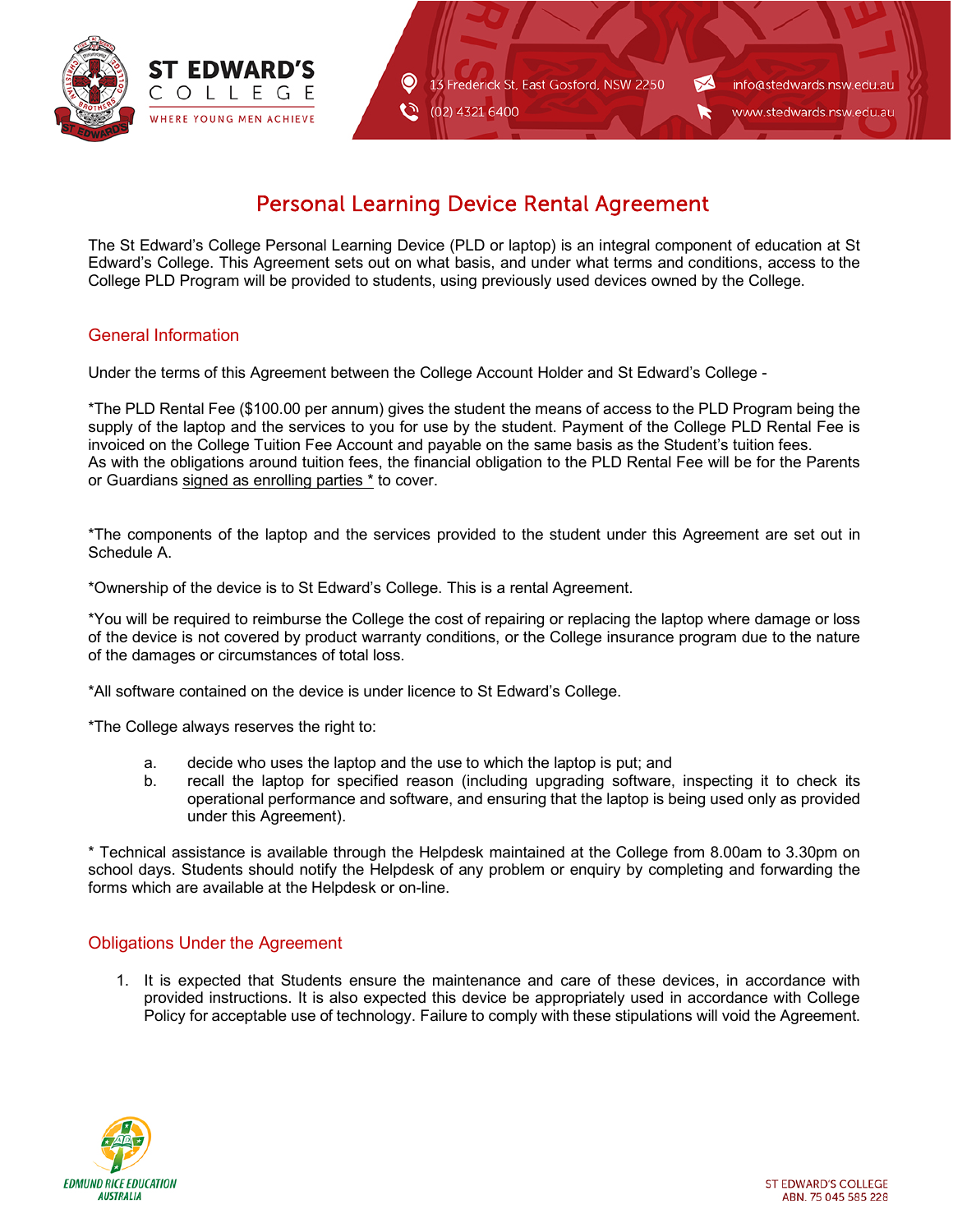

13 Frederick St, East Gosford, NSW 2250

Ć٦ (02) 4321 6400

 $\bullet$ 

info@stedwards.nsw.edu.au

www.stedwards.nsw.edu.au

# Personal Learning Device Rental Agreement

The St Edward's College Personal Learning Device (PLD or laptop) is an integral component of education at St Edward's College. This Agreement sets out on what basis, and under what terms and conditions, access to the College PLD Program will be provided to students, using previously used devices owned by the College.

# General Information

Under the terms of this Agreement between the College Account Holder and St Edward's College -

\*The PLD Rental Fee (\$100.00 per annum) gives the student the means of access to the PLD Program being the supply of the laptop and the services to you for use by the student. Payment of the College PLD Rental Fee is invoiced on the College Tuition Fee Account and payable on the same basis as the Student's tuition fees. As with the obligations around tuition fees, the financial obligation to the PLD Rental Fee will be for the Parents or Guardians signed as enrolling parties \* to cover.

\*The components of the laptop and the services provided to the student under this Agreement are set out in Schedule A.

\*Ownership of the device is to St Edward's College. This is a rental Agreement.

\*You will be required to reimburse the College the cost of repairing or replacing the laptop where damage or loss of the device is not covered by product warranty conditions, or the College insurance program due to the nature of the damages or circumstances of total loss.

\*All software contained on the device is under licence to St Edward's College.

\*The College always reserves the right to:

- a. decide who uses the laptop and the use to which the laptop is put; and
- b. recall the laptop for specified reason (including upgrading software, inspecting it to check its operational performance and software, and ensuring that the laptop is being used only as provided under this Agreement).

\* Technical assistance is available through the Helpdesk maintained at the College from 8.00am to 3.30pm on school days. Students should notify the Helpdesk of any problem or enquiry by completing and forwarding the forms which are available at the Helpdesk or on-line.

## Obligations Under the Agreement

1. It is expected that Students ensure the maintenance and care of these devices, in accordance with provided instructions. It is also expected this device be appropriately used in accordance with College Policy for acceptable use of technology. Failure to comply with these stipulations will void the Agreement.

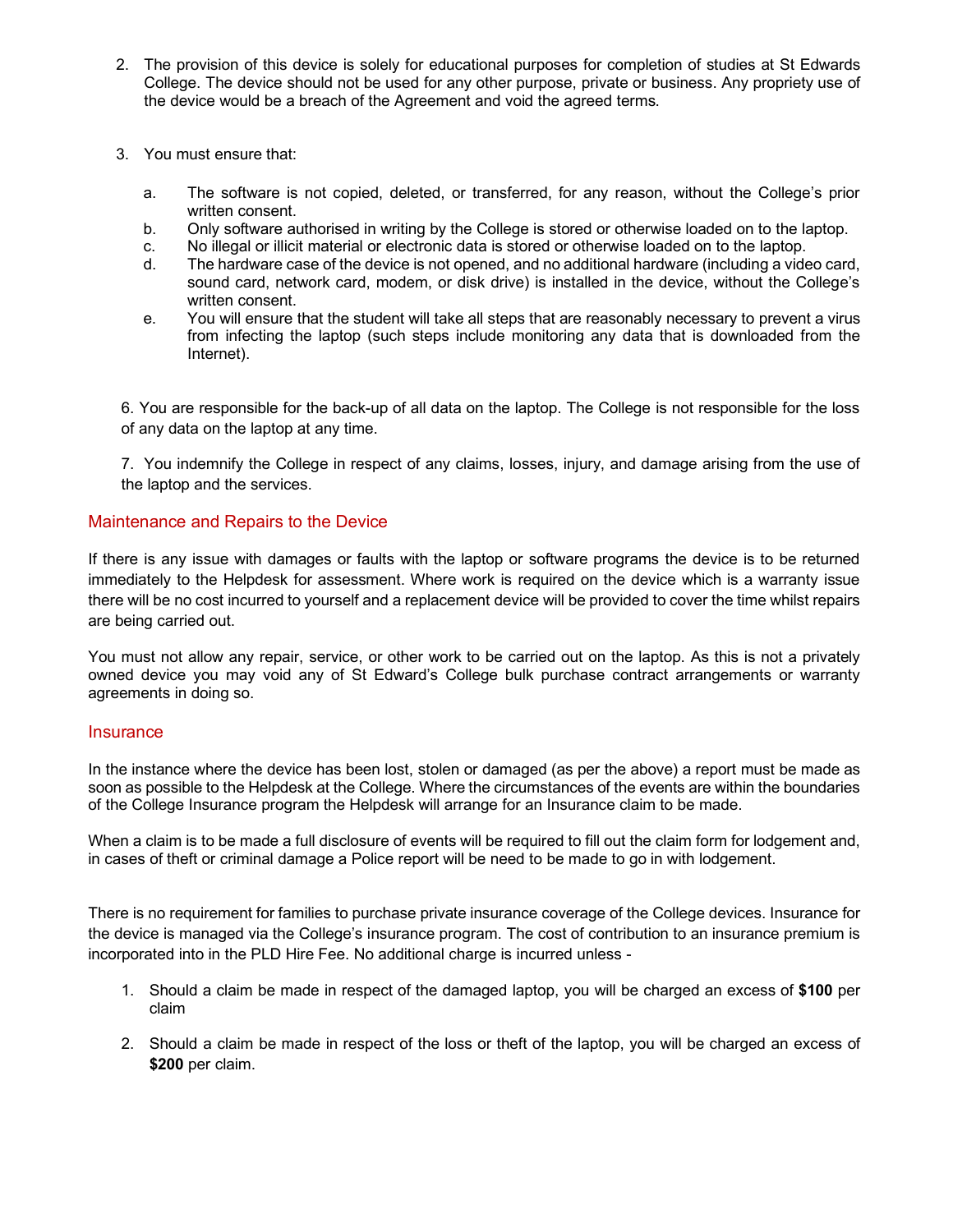- 2. The provision of this device is solely for educational purposes for completion of studies at St Edwards College. The device should not be used for any other purpose, private or business. Any propriety use of the device would be a breach of the Agreement and void the agreed terms.
- 3. You must ensure that:
	- a. The software is not copied, deleted, or transferred, for any reason, without the College's prior written consent.
	- b. Only software authorised in writing by the College is stored or otherwise loaded on to the laptop.
	- c. No illegal or illicit material or electronic data is stored or otherwise loaded on to the laptop.
	- The hardware case of the device is not opened, and no additional hardware (including a video card, sound card, network card, modem, or disk drive) is installed in the device, without the College's written consent.
	- e. You will ensure that the student will take all steps that are reasonably necessary to prevent a virus from infecting the laptop (such steps include monitoring any data that is downloaded from the Internet).

6. You are responsible for the back-up of all data on the laptop. The College is not responsible for the loss of any data on the laptop at any time.

7. You indemnify the College in respect of any claims, losses, injury, and damage arising from the use of the laptop and the services.

## Maintenance and Repairs to the Device

If there is any issue with damages or faults with the laptop or software programs the device is to be returned immediately to the Helpdesk for assessment. Where work is required on the device which is a warranty issue there will be no cost incurred to yourself and a replacement device will be provided to cover the time whilst repairs are being carried out.

You must not allow any repair, service, or other work to be carried out on the laptop. As this is not a privately owned device you may void any of St Edward's College bulk purchase contract arrangements or warranty agreements in doing so.

## **Insurance**

In the instance where the device has been lost, stolen or damaged (as per the above) a report must be made as soon as possible to the Helpdesk at the College. Where the circumstances of the events are within the boundaries of the College Insurance program the Helpdesk will arrange for an Insurance claim to be made.

When a claim is to be made a full disclosure of events will be required to fill out the claim form for lodgement and, in cases of theft or criminal damage a Police report will be need to be made to go in with lodgement.

There is no requirement for families to purchase private insurance coverage of the College devices. Insurance for the device is managed via the College's insurance program. The cost of contribution to an insurance premium is incorporated into in the PLD Hire Fee. No additional charge is incurred unless -

- 1. Should a claim be made in respect of the damaged laptop, you will be charged an excess of **\$100** per claim
- 2. Should a claim be made in respect of the loss or theft of the laptop, you will be charged an excess of **\$200** per claim.